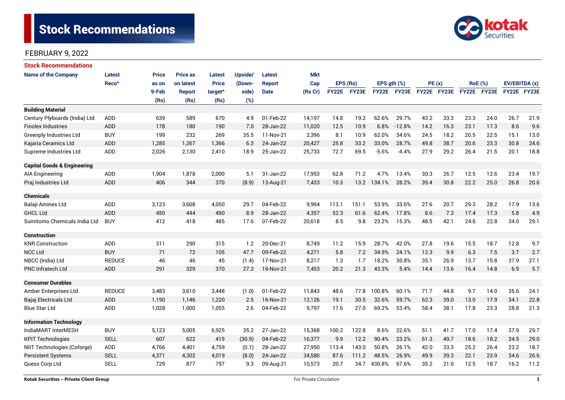

| <b>Stock Recommendations</b>           |                   |              |                 |                     |         |               |            |              |              |               |             |             |      |                |      |               |      |
|----------------------------------------|-------------------|--------------|-----------------|---------------------|---------|---------------|------------|--------------|--------------|---------------|-------------|-------------|------|----------------|------|---------------|------|
| <b>Name of the Company</b>             | Latest            | <b>Price</b> | <b>Price as</b> | <b>Latest</b>       | Upside/ | Latest        | <b>Mkt</b> |              |              |               |             |             |      |                |      |               |      |
|                                        | Reco <sup>^</sup> | as on        | on latest       | <b>Price</b>        | (Down-  | <b>Report</b> | Cap        | EPS (Rs)     |              | EPS $qth$ $%$ |             | PE(x)       |      | <b>RoE</b> (%) |      | EV/EBITDA (x) |      |
|                                        |                   | 9-Feb        | <b>Report</b>   | target <sup>^</sup> | side)   | <b>Date</b>   | (Rs Cr)    | <b>FY22E</b> | <b>FY23E</b> |               | FY22E FY23E | FY22E FY23E |      | FY22E FY23E    |      | FY22E FY23E   |      |
|                                        |                   | (Rs)         | (Rs)            | (Rs)                | (%)     |               |            |              |              |               |             |             |      |                |      |               |      |
| <b>Building Material</b>               |                   |              |                 |                     |         |               |            |              |              |               |             |             |      |                |      |               |      |
| Century Plyboards (India) Ltd          | <b>ADD</b>        | 639          | 589             | 670                 | 4.9     | 01-Feb-22     | 14,197     | 14.8         | 19.2         | 62.6%         | 29.7%       | 43.2        | 33.3 | 23.3           | 24.0 | 26.7          | 21.9 |
| <b>Finolex Industries</b>              | ADD               | 178          | 180             | 190                 | 7.0     | 28-Jan-22     | 11,020     | 12.5         | 10.9         | 6.8%          | $-12.8%$    | 14.2        | 16.3 | 23.1           | 17.3 | 8.6           | 9.6  |
| Greenply Industries Ltd                | <b>BUY</b>        | 199          | 232             | 269                 | 35.5    | 11-Nov-21     | 2,396      | 8.1          | 10.9         | 62.0%         | 34.6%       | 24.5        | 18.2 | 20.5           | 22.5 | 15.1          | 13.0 |
| Kajaria Ceramics Ltd                   | ADD               | 1,285        | 1,267           | 1,366               | 6.3     | 24-Jan-22     | 20,427     | 25.8         | 33.2         | 33.0%         | 28.7%       | 49.8        | 38.7 | 20.6           | 23.3 | 30.8          | 24.6 |
| Supreme Industries Ltd                 | ADD               | 2,026        | 2,130           | 2,410               | 18.9    | 25-Jan-22     | 25,733     | 72.7         | 69.5         | $-5.6%$       | $-4.4%$     | 27.9        | 29.2 | 26.4           | 21.5 | 20.1          | 18.8 |
| <b>Capital Goods &amp; Engineering</b> |                   |              |                 |                     |         |               |            |              |              |               |             |             |      |                |      |               |      |
| AIA Engineering                        | ADD               | 1,904        | 1,878           | 2,000               | 5.1     | 31-Jan-22     | 17,953     | 62.8         | 71.2         | 4.7%          | 13.4%       | 30.3        | 26.7 | 12.5           | 12.6 | 23.4          | 19.7 |
| Praj Industries Ltd                    | <b>ADD</b>        | 406          | 344             | 370                 | (8.9)   | 13-Aug-21     | 7,433      | 10.3         |              | 13.2 134.1%   | 28.2%       | 39.4        | 30.8 | 22.2           | 25.0 | 26.8          | 20.6 |
| <b>Chemicals</b>                       |                   |              |                 |                     |         |               |            |              |              |               |             |             |      |                |      |               |      |
| Balaji Amines Ltd                      | ADD               | 3,123        | 3,608           | 4,050               | 29.7    | 04-Feb-22     | 9,994      | 113.1        | 151.1        | 53.9%         | 33.6%       | 27.6        | 20.7 | 29.3           | 28.2 | 17.9          | 13.6 |
| <b>GHCL Ltd</b>                        | <b>ADD</b>        | 450          | 444             | 490                 | 8.9     | 28-Jan-22     | 4,357      | 52.3         | 61.6         | 62.4%         | 17.8%       | 8.6         | 7.3  | 17.4           | 17.3 | 5.8           | 4.9  |
| Sumitomo Chemicals India Ltd           | <b>BUY</b>        | 412          | 418             | 485                 | 17.6    | 07-Feb-22     | 20,618     | 8.5          | 9.8          | 23.2%         | 15.3%       | 48.5        | 42.1 | 24.6           | 22.8 | 34.0          | 29.1 |
| <b>Construction</b>                    |                   |              |                 |                     |         |               |            |              |              |               |             |             |      |                |      |               |      |
| <b>KNR Construction</b>                | ADD               | 311          | 290             | 315                 | 1.2     | 20-Dec-21     | 8,749      | 11.2         | 15.9         | 28.7%         | 42.0%       | 27.8        | 19.6 | 15.5           | 18.7 | 12.8          | 9.7  |
| <b>NCC Ltd</b>                         | <b>BUY</b>        | 71           | 72              | 105                 | 47.7    | 09-Feb-22     | 4,271      | 5.8          | 7.2          | 34.9%         | 24.1%       | 12.3        | 9.9  | 6.3            | 7.5  | 3.7           | 2.7  |
| NBCC (India) Ltd                       | <b>REDUCE</b>     | 46           | 46              | 45                  | (1.4)   | 17-Nov-21     | 8,217      | 1.3          | 1.7          | 18.2%         | 30.8%       | 35.1        | 26.9 | 13.7           | 15.8 | 37.9          | 27.1 |
| <b>PNC Infratech Ltd</b>               | ADD               | 291          | 329             | 370                 | 27.3    | 16-Nov-21     | 7,453      | 20.2         | 21.3         | 43.3%         | 5.4%        | 14.4        | 13.6 | 16.4           | 14.8 | 6.9           | 5.7  |
| <b>Consumer Durables</b>               |                   |              |                 |                     |         |               |            |              |              |               |             |             |      |                |      |               |      |
| Amber Enterprises Ltd                  | <b>REDUCE</b>     | 3,483        | 3,610           | 3,448               | (1.0)   | 01-Feb-22     | 11,843     | 48.6         | 77.8         | 100.8%        | 60.1%       | 71.7        | 44.8 | 9.7            | 14.0 | 35.6          | 24.1 |
| Bajaj Electricals Ltd                  | <b>ADD</b>        | 1,190        | 1,146           | 1,220               | 2.5     | 16-Nov-21     | 12,126     | 19.1         | 30.5         | 32.6%         | 59.7%       | 62.3        | 39.0 | 13.0           | 17.9 | 34.1          | 22.8 |
| <b>Blue Star Ltd</b>                   | ADD               | 1,028        | 1,000           | 1,055               | 2.6     | 04-Feb-22     | 9,797      | 17.6         | 27.0         | 69.2%         | 53.4%       | 58.4        | 38.1 | 17.8           | 23.3 | 28.8          | 21.3 |
| <b>Information Technology</b>          |                   |              |                 |                     |         |               |            |              |              |               |             |             |      |                |      |               |      |
| IndiaMART InterMESH                    | <b>BUY</b>        | 5,123        | 5,005           | 6,925               | 35.2    | 27-Jan-22     | 15,368     | 100.2        | 122.8        | 8.6%          | 22.6%       | 51.1        | 41.7 | 17.0           | 17.4 | 37.9          | 29.7 |
| <b>KPIT Technologies</b>               | <b>SELL</b>       | 607          | 622             | 419                 | (30.9)  | 04-Feb-22     | 16,377     | 9.9          | 12.2         | 90.4%         | 23.2%       | 61.3        | 49.7 | 18.6           | 18.2 | 34.5          | 29.0 |
| NIIT Technologies (Coforge)            | ADD               | 4,766        | 4,401           | 4,759               | (0.1)   | 28-Jan-22     | 27,950     | 113.4        | 143.0        | 50.8%         | 26.1%       | 42.0        | 33.3 | 25.2           | 26.4 | 23.2          | 18.7 |
| <b>Persistent Systems</b>              | <b>SELL</b>       | 4,371        | 4,302           | 4,019               | (8.0)   | 24-Jan-22     | 34,580     | 87.6         | 111.2        | 48.5%         | 26.9%       | 49.9        | 39.3 | 22.1           | 23.9 | 34.6          | 26.6 |
| Quess Corp Ltd                         | <b>SELL</b>       | 729          | 877             | 797                 | 9.3     | 09-Aug-21     | 10,573     | 20.7         | 34.7         | 430.8%        | 67.6%       | 35.2        | 21.0 | 12.5           | 18.7 | 16.2          | 11.2 |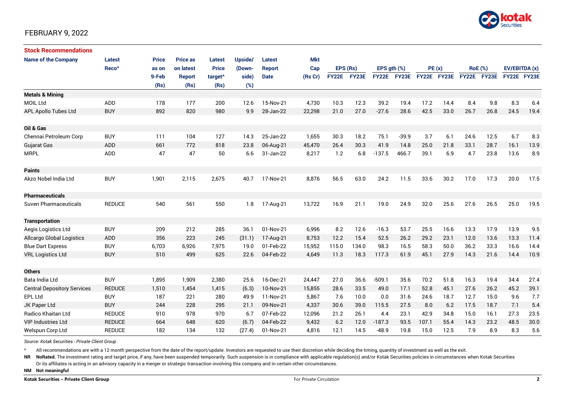

| <b>Stock Recommendations</b>       |                   |              |                 |                     |         |               |            |             |       |                  |             |             |      |      |                |               |      |
|------------------------------------|-------------------|--------------|-----------------|---------------------|---------|---------------|------------|-------------|-------|------------------|-------------|-------------|------|------|----------------|---------------|------|
| <b>Name of the Company</b>         | <b>Latest</b>     | <b>Price</b> | <b>Price as</b> | <b>Latest</b>       | Upside/ | <b>Latest</b> | <b>Mkt</b> |             |       |                  |             |             |      |      |                |               |      |
|                                    | Reco <sup>^</sup> | as on        | on latest       | <b>Price</b>        | (Down-  | <b>Report</b> | Cap        | EPS (Rs)    |       | EPS $qth$ $(\%)$ |             | PE(x)       |      |      | <b>RoE</b> (%) | EV/EBITDA (x) |      |
|                                    |                   | 9-Feb        | <b>Report</b>   | target <sup>^</sup> | side)   | <b>Date</b>   | (Rs Cr)    | FY22E FY23E |       |                  | FY22E FY23E | FY22E FY23E |      |      | FY22E FY23E    | FY22E FY23E   |      |
|                                    |                   | (Rs)         | (Rs)            | (Rs)                | (%)     |               |            |             |       |                  |             |             |      |      |                |               |      |
| <b>Metals &amp; Mining</b>         |                   |              |                 |                     |         |               |            |             |       |                  |             |             |      |      |                |               |      |
| <b>MOIL Ltd</b>                    | ADD               | 178          | 177             | 200                 | 12.6    | 15-Nov-21     | 4,730      | 10.3        | 12.3  | 39.2             | 19.4        | 17.2        | 14.4 | 8.4  | 9.8            | 8.3           | 6.4  |
| <b>APL Apollo Tubes Ltd</b>        | <b>BUY</b>        | 892          | 820             | 980                 | 9.9     | 28-Jan-22     | 22,298     | 21.0        | 27.0  | $-27.6$          | 28.6        | 42.5        | 33.0 | 26.7 | 26.8           | 24.5          | 19.4 |
|                                    |                   |              |                 |                     |         |               |            |             |       |                  |             |             |      |      |                |               |      |
| Oil & Gas                          |                   |              |                 |                     |         |               |            |             |       |                  |             |             |      |      |                |               |      |
| Chennai Petroleum Corp             | <b>BUY</b>        | 111          | 104             | 127                 | 14.3    | 25-Jan-22     | 1,655      | 30.3        | 18.2  | 75.1             | $-39.9$     | 3.7         | 6.1  | 24.6 | 12.5           | 6.7           | 8.3  |
| <b>Gujarat Gas</b>                 | <b>ADD</b>        | 661          | 772             | 818                 | 23.8    | 06-Aug-21     | 45,470     | 26.4        | 30.3  | 41.9             | 14.8        | 25.0        | 21.8 | 33.1 | 28.7           | 16.1          | 13.9 |
| <b>MRPL</b>                        | ADD               | 47           | 47              | 50                  | 6.6     | 31-Jan-22     | 8,217      | 1.2         | 6.8   | $-137.5$         | 466.7       | 39.1        | 6.9  | 4.7  | 23.8           | 13.6          | 8.9  |
|                                    |                   |              |                 |                     |         |               |            |             |       |                  |             |             |      |      |                |               |      |
| <b>Paints</b>                      |                   |              |                 |                     |         |               |            |             |       |                  |             |             |      |      |                |               |      |
| Akzo Nobel India Ltd               | <b>BUY</b>        | 1,901        | 2,115           | 2,675               | 40.7    | 17-Nov-21     | 8,876      | 56.5        | 63.0  | 24.2             | 11.5        | 33.6        | 30.2 | 17.0 | 17.3           | 20.0          | 17.5 |
|                                    |                   |              |                 |                     |         |               |            |             |       |                  |             |             |      |      |                |               |      |
| <b>Pharmaceuticals</b>             |                   |              |                 |                     |         |               |            |             |       |                  |             |             |      |      |                |               |      |
| Suven Pharmaceuticals              | <b>REDUCE</b>     | 540          | 561             | 550                 | 1.8     | 17-Aug-21     | 13,722     | 16.9        | 21.1  | 19.0             | 24.9        | 32.0        | 25.6 | 27.6 | 26.5           | 25.0          | 19.5 |
|                                    |                   |              |                 |                     |         |               |            |             |       |                  |             |             |      |      |                |               |      |
| <b>Transportation</b>              |                   |              |                 |                     |         |               |            |             |       |                  |             |             |      |      |                |               |      |
| Aegis Logistics Ltd                | <b>BUY</b>        | 209          | 212             | 285                 | 36.1    | 01-Nov-21     | 6,996      | 8.2         | 12.6  | $-16.3$          | 53.7        | 25.5        | 16.6 | 13.3 | 17.9           | 13.9          | 9.5  |
| <b>Allcargo Global Logistics</b>   | ADD               | 356          | 223             | 245                 | (31.1)  | 17-Aug-21     | 8,753      | 12.2        | 15.4  | 52.5             | 26.2        | 29.2        | 23.1 | 12.0 | 13.6           | 13.3          | 11.4 |
| <b>Blue Dart Express</b>           | <b>BUY</b>        | 6,703        | 6,926           | 7,975               | 19.0    | 01-Feb-22     | 15,952     | 115.0       | 134.0 | 98.3             | 16.5        | 58.3        | 50.0 | 36.2 | 33.3           | 16.6          | 14.4 |
| <b>VRL Logistics Ltd</b>           | <b>BUY</b>        | 510          | 499             | 625                 | 22.6    | 04-Feb-22     | 4,649      | 11.3        | 18.3  | 117.3            | 61.9        | 45.1        | 27.9 | 14.3 | 21.6           | 14.4          | 10.9 |
|                                    |                   |              |                 |                     |         |               |            |             |       |                  |             |             |      |      |                |               |      |
| <b>Others</b>                      |                   |              |                 |                     |         |               |            |             |       |                  |             |             |      |      |                |               |      |
| Bata India Ltd                     | <b>BUY</b>        | 1,895        | 1,909           | 2,380               | 25.6    | 16-Dec-21     | 24,447     | 27.0        | 36.6  | $-509.1$         | 35.6        | 70.2        | 51.8 | 16.3 | 19.4           | 34.4          | 27.4 |
| <b>Central Depository Services</b> | <b>REDUCE</b>     | 1,510        | 1,454           | 1,415               | (6.3)   | 10-Nov-21     | 15,855     | 28.6        | 33.5  | 49.0             | 17.1        | 52.8        | 45.1 | 27.6 | 26.2           | 45.2          | 39.1 |
| <b>EPL Ltd</b>                     | <b>BUY</b>        | 187          | 221             | 280                 | 49.9    | 11-Nov-21     | 5,867      | 7.6         | 10.0  | 0.0              | 31.6        | 24.6        | 18.7 | 12.7 | 15.0           | 9.6           | 7.7  |
| JK Paper Ltd                       | <b>BUY</b>        | 244          | 228             | 295                 | 21.1    | 09-Nov-21     | 4,337      | 30.6        | 39.0  | 115.5            | 27.5        | 8.0         | 6.2  | 17.5 | 18.7           | 7.1           | 5.4  |
| Radico Khaitan Ltd                 | <b>REDUCE</b>     | 910          | 978             | 970                 | 6.7     | 07-Feb-22     | 12,096     | 21.2        | 26.1  | 4.4              | 23.1        | 42.9        | 34.8 | 15.0 | 16.1           | 27.3          | 23.5 |
| <b>VIP Industries Ltd</b>          | <b>REDUCE</b>     | 664          | 648             | 620                 | (6.7)   | 04-Feb-22     | 9,432      | 6.2         | 12.0  | $-187.3$         | 93.5        | 107.1       | 55.4 | 14.3 | 23.2           | 48.5          | 30.0 |
| Welspun Corp Ltd                   | <b>REDUCE</b>     | 182          | 134             | 132                 | (27.4)  | 01-Nov-21     | 4,816      | 12.1        | 14.5  | $-48.9$          | 19.8        | 15.0        | 12.5 | 7.9  | 8.9            | 8.3           | 5.6  |

*Source: Kotak Securities - Private Client Group*

All recommendations are with a 12 month perspective from the date of the report/update. Investors are requested to use their discretion while deciding the timing, quantity of investment as well as the exit.

NR NoRated. The investment rating and target price, if any, have been suspended temporarily. Such suspension is in compliance with applicable regulation(s) and/or Kotak Securities policies in circumstances when Kotak Secur

Or its affiliates is acting in an advisory capacity in a merger or strategic transaction involving this company and in certain other circumstances.

**NM Not meaningful**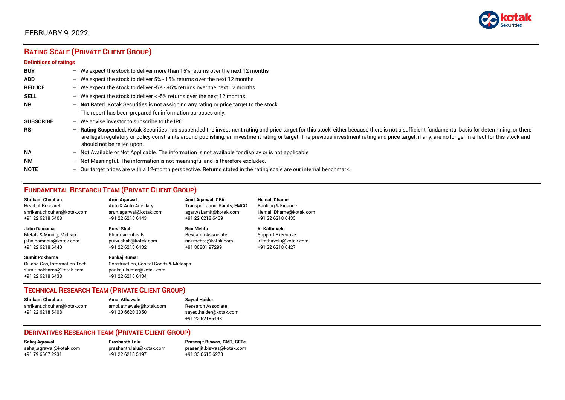

# **RATING SCALE (PRIVATE CLIENT GROUP)**

#### **Definitions of ratings**

| <b>BUY</b>       | $-$ | We expect the stock to deliver more than 15% returns over the next 12 months                                                                                                                                                                                                                                                                                                                                                     |
|------------------|-----|----------------------------------------------------------------------------------------------------------------------------------------------------------------------------------------------------------------------------------------------------------------------------------------------------------------------------------------------------------------------------------------------------------------------------------|
| <b>ADD</b>       |     | - We expect the stock to deliver $5\%$ - 15% returns over the next 12 months                                                                                                                                                                                                                                                                                                                                                     |
| <b>REDUCE</b>    |     | - We expect the stock to deliver -5% - +5% returns over the next 12 months                                                                                                                                                                                                                                                                                                                                                       |
| <b>SELL</b>      |     | - We expect the stock to deliver $\lt$ -5% returns over the next 12 months                                                                                                                                                                                                                                                                                                                                                       |
| <b>NR</b>        |     | - Not Rated. Kotak Securities is not assigning any rating or price target to the stock.                                                                                                                                                                                                                                                                                                                                          |
|                  |     | The report has been prepared for information purposes only.                                                                                                                                                                                                                                                                                                                                                                      |
| <b>SUBSCRIBE</b> | $-$ | We advise investor to subscribe to the IPO.                                                                                                                                                                                                                                                                                                                                                                                      |
| <b>RS</b>        | $-$ | Rating Suspended. Kotak Securities has suspended the investment rating and price target for this stock, either because there is not a sufficient fundamental basis for determining, or there<br>are legal, regulatory or policy constraints around publishing, an investment rating or target. The previous investment rating and price target, if any, are no longer in effect for this stock and<br>should not be relied upon. |
| <b>NA</b>        |     | - Not Available or Not Applicable. The information is not available for display or is not applicable                                                                                                                                                                                                                                                                                                                             |
| <b>NM</b>        |     | - Not Meaningful. The information is not meaningful and is therefore excluded.                                                                                                                                                                                                                                                                                                                                                   |
| <b>NOTE</b>      | $-$ | Our target prices are with a 12-month perspective. Returns stated in the rating scale are our internal benchmark.                                                                                                                                                                                                                                                                                                                |

# **FUNDAMENTAL RESEARCH TEAM (PRIVATE CLIENT GROUP)**

| <b>Shrikant Chouhan</b>                                                                                | Arun Agarwal                                                                                                    | <b>Amit Agarwal, CFA</b>     | <b>Hemali Dhame</b>      |
|--------------------------------------------------------------------------------------------------------|-----------------------------------------------------------------------------------------------------------------|------------------------------|--------------------------|
| <b>Head of Research</b>                                                                                | Auto & Auto Ancillary                                                                                           | Transportation, Paints, FMCG | Banking & Finance        |
| shrikant.chouhan@kotak.com                                                                             | arun agarwal@kotak.com                                                                                          | agarwal.amit@kotak.com       | Hemali.Dhame@kotak.com   |
| +91 22 6218 5408                                                                                       | +91 22 6218 6443                                                                                                | +91 22 6218 6439             | +91 22 6218 6433         |
| <b>Jatin Damania</b>                                                                                   | Purvi Shah                                                                                                      | <b>Rini Mehta</b>            | K. Kathirvelu            |
| Metals & Mining, Midcap                                                                                | Pharmaceuticals                                                                                                 | Research Associate           | <b>Support Executive</b> |
| jatin.damania@kotak.com                                                                                | purvi.shah@kotak.com                                                                                            | rini.mehta@kotak.com         | k.kathirvelu@kotak.com   |
| +91 22 6218 6440                                                                                       | +91 22 6218 6432                                                                                                | +91 80801 97299              | +91 22 6218 6427         |
| <b>Sumit Pokharna</b><br>Oil and Gas, Information Tech<br>sumit.pokharna@kotak.com<br>+91 22 6218 6438 | Pankaj Kumar<br><b>Construction, Capital Goods &amp; Midcaps</b><br>pankajr.kumar@kotak.com<br>+91 22 6218 6434 |                              |                          |

#### **TECHNICAL RESEARCH TEAM (PRIVATE CLIENT GROUP)**

| <b>Shrikant Chouhan</b>    | <b>Amol Athawale</b>    |  |
|----------------------------|-------------------------|--|
| shrikant.chouhan@kotak.com | amol.athawale@kotak.com |  |
| +91 22 6218 5408           | +91 20 6620 3350        |  |
|                            |                         |  |

**Sayed Haider** Research Associate [sayed.haider@kotak.com](mailto:sayed.haider@kotak.com) +91 22 62185498

#### **DERIVATIVES RESEARCH TEAM (PRIVATE CLIENT GROUP)**

+91 22 6218 5497 +91 33 6615 6273

**Sahaj Agrawal Prashanth Lalu Prasenjit Biswas, CMT, CFTe** [sahaj.agrawal@kotak.com](mailto:sahaj.agrawal@kotak.com) [prashanth.lalu@kotak.com](mailto:prashanth.lalu@kotak.com) [prasenjit.biswas@kotak.com](mailto:prasenjit.biswas@kotak.com)